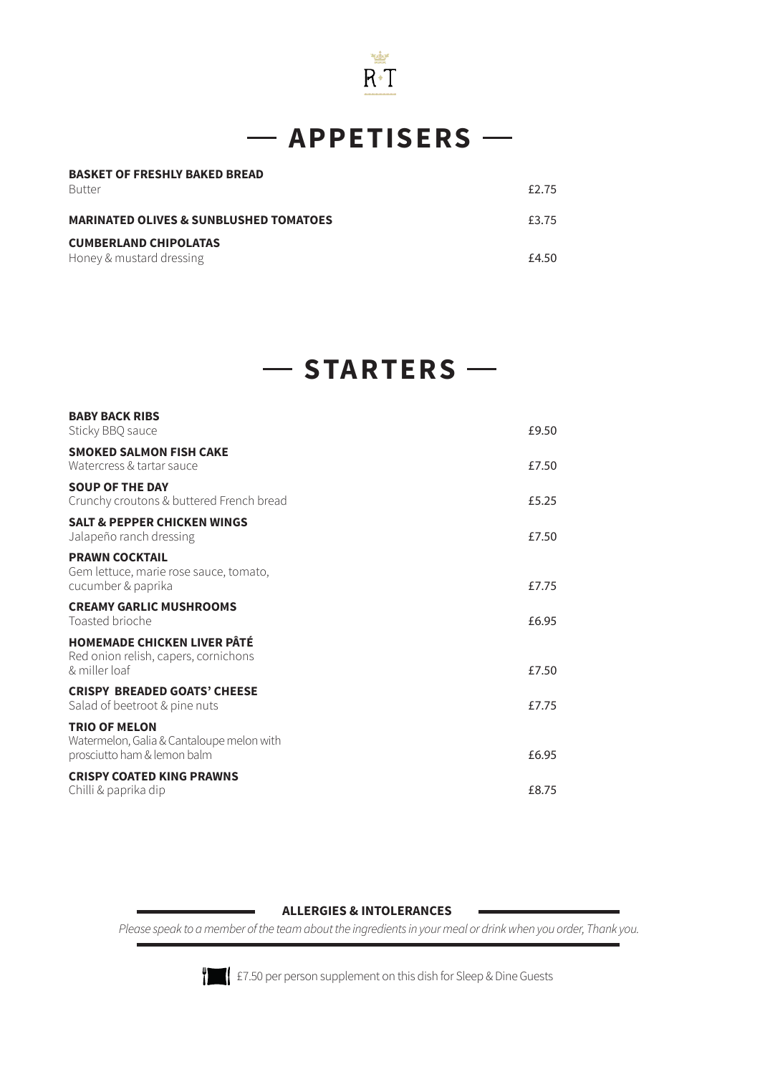

## $-$  APPETISERS  $-$

| <b>BASKET OF FRESHLY BAKED BREAD</b>              |       |
|---------------------------------------------------|-------|
| <b>Butter</b>                                     | £2.75 |
| <b>MARINATED OLIVES &amp; SUNBLUSHED TOMATOES</b> | £3.75 |
| <b>CUMBERLAND CHIPOLATAS</b>                      |       |
| Honey & mustard dressing                          | £4.50 |

## $-$  **STARTERS**  $-$

| <b>BABY BACK RIBS</b><br>Sticky BBQ sauce                                                        | £9.50 |
|--------------------------------------------------------------------------------------------------|-------|
| <b>SMOKED SALMON FISH CAKE</b><br>Watercress & tartar sauce                                      | £7.50 |
| <b>SOUP OF THE DAY</b><br>Crunchy croutons & buttered French bread                               | £5.25 |
| <b>SALT &amp; PEPPER CHICKEN WINGS</b><br>Jalapeño ranch dressing                                | £7.50 |
| <b>PRAWN COCKTAIL</b><br>Gem lettuce, marie rose sauce, tomato,<br>cucumber & paprika            | £7.75 |
| <b>CREAMY GARLIC MUSHROOMS</b><br>Toasted brioche                                                | £6.95 |
| <b>HOMEMADE CHICKEN LIVER PÂTÉ</b><br>Red onion relish, capers, cornichons<br>& miller loaf      | £7.50 |
| <b>CRISPY BREADED GOATS' CHEESE</b><br>Salad of beetroot & pine nuts                             | £7.75 |
| <b>TRIO OF MELON</b><br>Watermelon, Galia & Cantaloupe melon with<br>prosciutto ham & lemon balm | £6.95 |
| <b>CRISPY COATED KING PRAWNS</b><br>Chilli & paprika dip                                         | £8.75 |
|                                                                                                  |       |

#### **ALLERGIES & INTOLERANCES**

*Please speak to a member of the team about the ingredients in your meal or drink when you order, Thank you.*



£7.50 per person supplement on this dish for Sleep & Dine Guests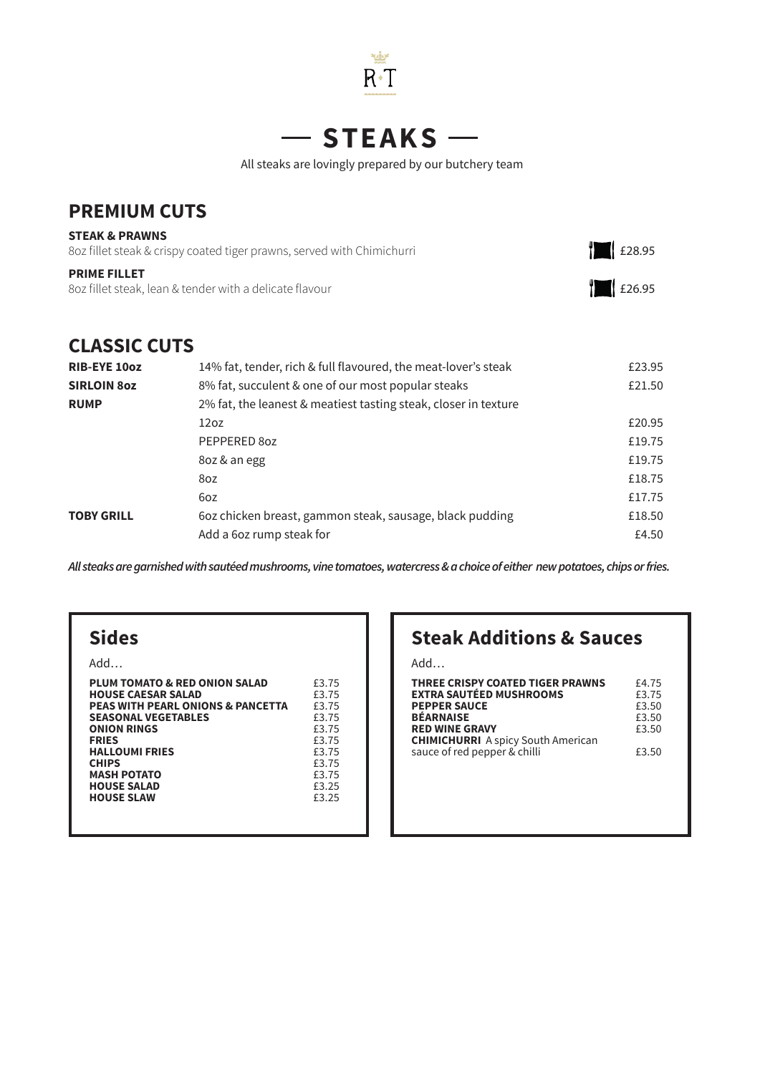

#### **STEAKS**  $\overline{\phantom{0}}$

All steaks are lovingly prepared by our butchery team

### **PREMIUM CUTS**

| <b>STEAK &amp; PRAWNS</b><br>8oz fillet steak & crispy coated tiger prawns, served with Chimichurri | £28.95 |
|-----------------------------------------------------------------------------------------------------|--------|
| <b>PRIME FILLET</b><br>802 fillet steak, lean & tender with a delicate flavour                      | £26.95 |

### **CLASSIC CUTS**

| <b>RIB-EYE 10oz</b> | 14% fat, tender, rich & full flavoured, the meat-lover's steak  | £23.95 |
|---------------------|-----------------------------------------------------------------|--------|
| <b>SIRLOIN 80Z</b>  | 8% fat, succulent & one of our most popular steaks              | £21.50 |
| <b>RUMP</b>         | 2% fat, the leanest & meatiest tasting steak, closer in texture |        |
|                     | 12 <sub>oz</sub>                                                | £20.95 |
|                     | PEPPERED 80Z                                                    | £19.75 |
|                     | 8oz & an egg                                                    | £19.75 |
|                     | 8oz                                                             | £18.75 |
|                     | 6oz                                                             | £17.75 |
| <b>TOBY GRILL</b>   | 60z chicken breast, gammon steak, sausage, black pudding        | £18.50 |
|                     | Add a 6oz rump steak for                                        | £4.50  |

*All steaks are garnished with sautéed mushrooms, vine tomatoes, watercress & a choice of either new potatoes, chips or fries.*

### **Sides**

| £3.75 |
|-------|
| £3.75 |
| £3.75 |
| £3.75 |
| £3.75 |
| £3.75 |
| £3.75 |
| £3.75 |
| £3.75 |
| £3.25 |
| £3.25 |
|       |
|       |

### **Steak Additions & Sauces**

Add…

| <b>THREE CRISPY COATED TIGER PRAWNS</b><br><b>EXTRA SAUTÉED MUSHROOMS</b><br><b>PEPPER SAUCE</b><br><b>BÉARNAISE</b> | £4.75<br>£3.75<br>£3.50<br>£3.50 |
|----------------------------------------------------------------------------------------------------------------------|----------------------------------|
| <b>RED WINE GRAVY</b>                                                                                                | £3.50                            |
| <b>CHIMICHURRI</b> A spicy South American<br>sauce of red pepper & chilli                                            | £3.50                            |
|                                                                                                                      |                                  |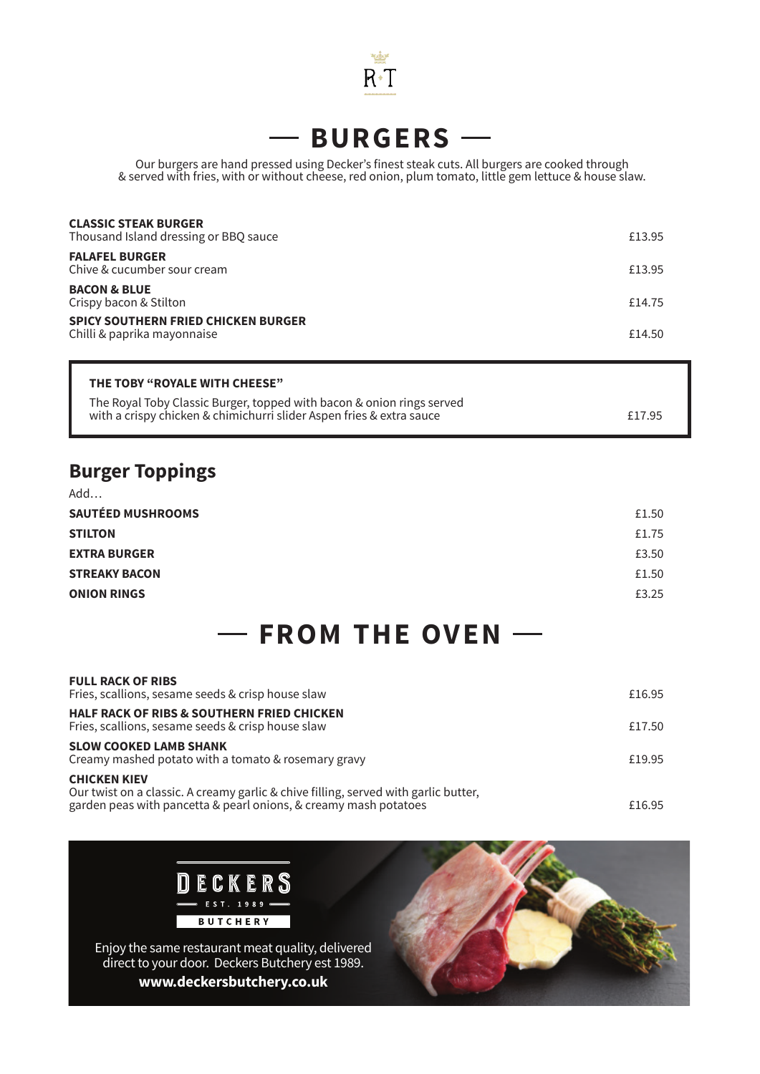

# **BURGERS**

l,

Our burgers are hand pressed using Decker's finest steak cuts. All burgers are cooked through & served with fries, with or without cheese, red onion, plum tomato, little gem lettuce & house slaw.

| <b>CLASSIC STEAK BURGER</b><br>Thousand Island dressing or BBQ sauce      | £13.95 |
|---------------------------------------------------------------------------|--------|
| <b>FALAFEL BURGER</b><br>Chive & cucumber sour cream                      | £13.95 |
| <b>BACON &amp; BLUE</b><br>Crispy bacon & Stilton                         | £14.75 |
| <b>SPICY SOUTHERN FRIED CHICKEN BURGER</b><br>Chilli & paprika mayonnaise | £14.50 |

| THE TOBY "ROYALE WITH CHEESE"                                                                                                                 |        |
|-----------------------------------------------------------------------------------------------------------------------------------------------|--------|
| The Royal Toby Classic Burger, topped with bacon & onion rings served<br>with a crispy chicken & chimichurri slider Aspen fries & extra sauce | £17.95 |

### **Burger Toppings**

| Add                      |       |
|--------------------------|-------|
| <b>SAUTÉED MUSHROOMS</b> | £1.50 |
| <b>STILTON</b>           | £1.75 |
| <b>EXTRA BURGER</b>      | £3.50 |
| <b>STREAKY BACON</b>     | £1.50 |
| <b>ONION RINGS</b>       | £3.25 |

#### **FROM THE OVEN**

| <b>FULL RACK OF RIBS</b><br>Fries, scallions, sesame seeds & crisp house slaw                                                                                                  | £16.95 |
|--------------------------------------------------------------------------------------------------------------------------------------------------------------------------------|--------|
| <b>HALF RACK OF RIBS &amp; SOUTHERN FRIED CHICKEN</b><br>Fries, scallions, sesame seeds & crisp house slaw                                                                     | £17.50 |
| <b>SLOW COOKED LAMB SHANK</b><br>Creamy mashed potato with a tomato & rosemary gravy                                                                                           | £19.95 |
| <b>CHICKEN KIEV</b><br>Our twist on a classic. A creamy garlic & chive filling, served with garlic butter,<br>garden peas with pancetta & pearl onions, & creamy mash potatoes | £16.95 |

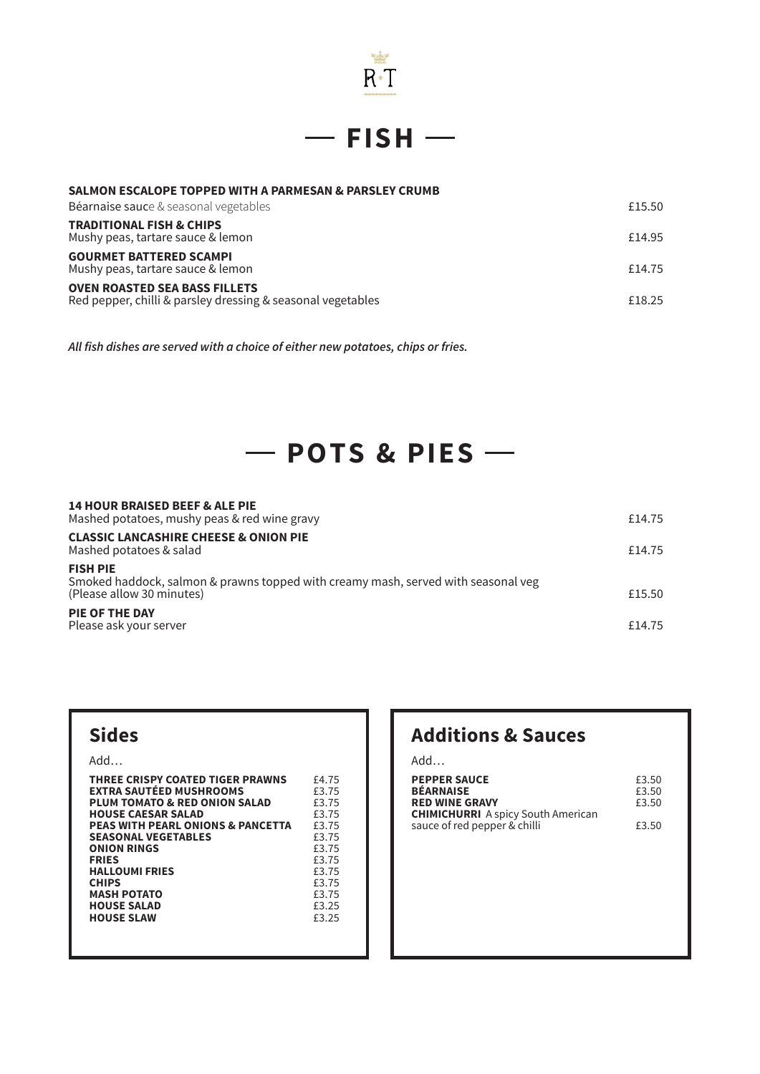

 $-$ **FISH** $-$ 

| SALMON ESCALOPE TOPPED WITH A PARMESAN & PARSLEY CRUMB |
|--------------------------------------------------------|
|                                                        |

| Béarnaise sauce & seasonal vegetables                                                               | £15.50 |
|-----------------------------------------------------------------------------------------------------|--------|
| <b>TRADITIONAL FISH &amp; CHIPS</b><br>Mushy peas, tartare sauce & lemon                            | £14.95 |
| <b>GOURMET BATTERED SCAMPI</b><br>Mushy peas, tartare sauce & lemon                                 | £14.75 |
| <b>OVEN ROASTED SEA BASS FILLETS</b><br>Red pepper, chilli & parsley dressing & seasonal vegetables | £18.25 |

**All fish dishes are served with a choice of either new potatoes, chips or fries.**

# $-$  POTS & PIES $-$

| <b>14 HOUR BRAISED BEEF &amp; ALE PIE</b><br>Mashed potatoes, mushy peas & red wine gravy                                         | £14.75 |
|-----------------------------------------------------------------------------------------------------------------------------------|--------|
| <b>CLASSIC LANCASHIRE CHEESE &amp; ONION PIE</b><br>Mashed potatoes & salad                                                       | £14.75 |
| <b>FISH PIE</b><br>Smoked haddock, salmon & prawns topped with creamy mash, served with seasonal veg<br>(Please allow 30 minutes) | £15.50 |
| <b>PIE OF THE DAY</b><br>Please ask your server                                                                                   | £14.75 |

### **Sides**

Add…

| THREE CRISPY COATED TIGER PRAWNS             | £4.75 |
|----------------------------------------------|-------|
| <b>EXTRA SAUTÉED MUSHROOMS</b>               | £3.75 |
| PLUM TOMATO & RED ONION SALAD                | £3.75 |
| <b>HOUSE CAESAR SALAD</b>                    | £3.75 |
| <b>PEAS WITH PEARL ONIONS &amp; PANCETTA</b> | £3.75 |
| <b>SEASONAL VEGETABLES</b>                   | £3.75 |
| <b>ONION RINGS</b>                           | £3.75 |
| <b>FRIES</b>                                 | £3.75 |
| <b>HALLOUMI FRIES</b>                        | £3.75 |
| <b>CHIPS</b>                                 | £3.75 |
| <b>MASH POTATO</b>                           | £3.75 |
| <b>HOUSE SALAD</b>                           | £3.25 |
| <b>HOUSE SLAW</b>                            | £3.25 |
|                                              |       |
|                                              |       |

### **Additions & Sauces**

Add…

| <b>PEPPER SAUCE</b><br><b>BÉARNAISE</b><br><b>RED WINE GRAVY</b> | £3.50<br>£3.50<br>£3.50 |
|------------------------------------------------------------------|-------------------------|
| <b>CHIMICHURRI</b> A spicy South American                        |                         |
| sauce of red pepper & chilli                                     | £3.50                   |